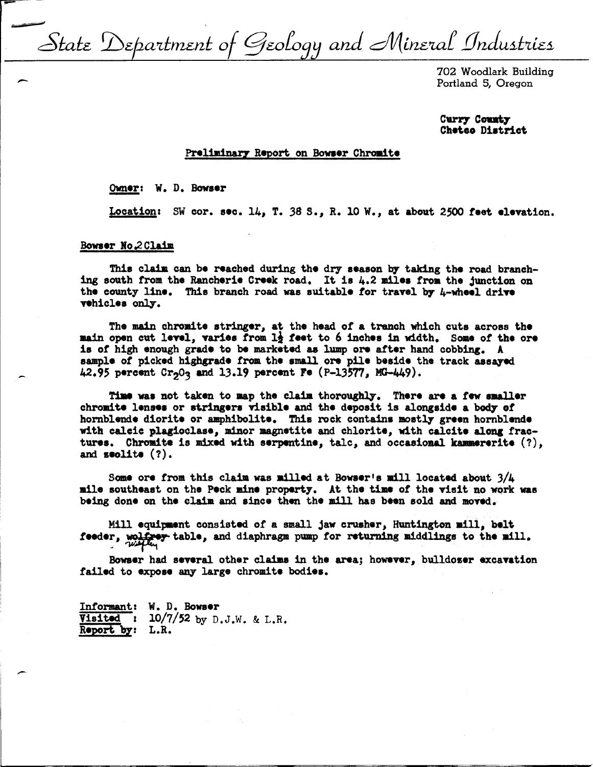State Department of Geology and Mineral Industries

702 Woodlark Building Portland 5, Oregon

Curry County Cheteo District

## Preliminary Report on Bowser Chromite

Owner: W. D. Bowser

Location: SW cor. sec. 14, T. 38 S., R. 10 W., at about 2500 feet elevation.

### Bowser No.2 Claim

This claim can be reached during the dry season by taking the road branching south from the Rancherie Creek road. It is 4.2 miles from the junction on the county line. This branch road was suitable for travel by  $\mu$ -wheel drive vehicles only.

The main chromite stringer, at the head of a tranch which cuts across the main open cut level, varies from 12 feet to 6 inches in width. Some of the ore is of high enough grade to be marketed as lump ore after hand cobbing. A sample of picked highgrade from the small ore pile beside the track assayed 42.95 percent  $Cr_2O_3$  and 13.19 percent Fe (P-13577, MG-449).

Time was not taken to map the claim thoroughly. There are a few smaller chromite lenses or stringers visible and the deposit is alongside a body of hornblende diorite or amphibolite. This rock contains mostly green hornblende with calcic plagioclase, minor magnetite and chlorite, with calcite along fractures. Chromite is mixed with serpentine, tale, and occasional kammererite  $(?)$ , and  $\texttt{seolite}$  (?).

Some ore from this claim was milled at Bowser's mill located about  $3/4$ mile southeast on the Peck mine property. At the time of the visit no work was being done on the claim and since then the mill has been sold and moved.

Mill equipment consisted of a small jaw crusher, Huntington mill, belt feeder, wolfway table, and diaphragm pump for returning middlings to the mill.

Bowser had several other claims in the area; however, bulldozer excavation failed to expose any large chromite bodies.

Informant: W. D. Bowser Visited:  $10/7/52$  by D.J.W. & L.R. Report by: L.R.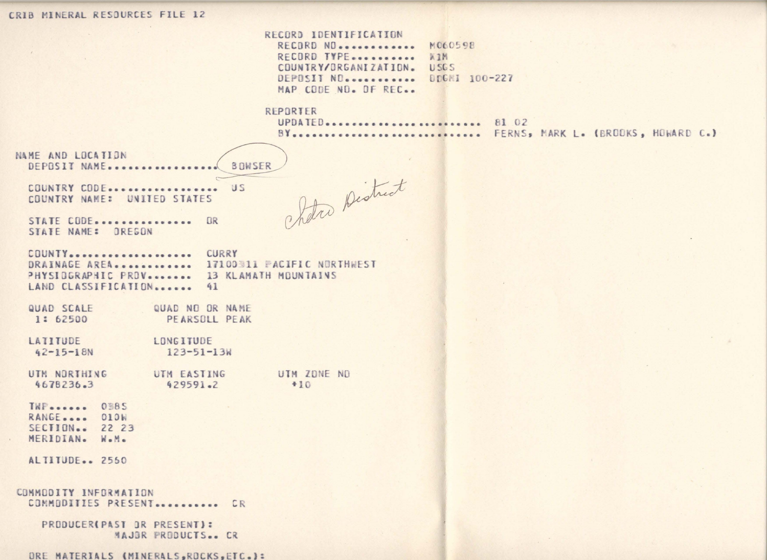# CRIB MINERAL RESOURCES FILE 12

|  | CECURO IUENIIFICAIIUN |               |
|--|-----------------------|---------------|
|  | RECORD NO             | M060598       |
|  | RECORD TYPE           | XIM           |
|  | COUNTRY/ORGANIZATION. | 11565         |
|  | DEPOSIT NO.           | DDGMI 100-227 |
|  | MAP CODE NO. DF REC   |               |

#### REPORTER

Chetro District

UPDATED.......................... 81 02 BY .............................. FERNS, MARK L. (BRODKS, HOWARD C.)

NAME AND LOCATION BOWSER DEPOSIT NAME................

COUNTRY CODE.................. US COUNTRY NAME: UNITED STATES

STATE CODE................ OR STATE NAME: OREGON

COUNTY .................... CURRY DRAINAGE AREA............. 17100311 PACIFIC NORTHWEST PHYSIDGRAPHIC PROV....... 13 KLAMATH MOUNTAINS LAND CLASSIFICATION....... 41

QUAD SCALE QUAD NO OR NAME 1: 62500 PEARSOLL PEAK

LATITUDE LONGITUDE  $42 - 15 - 18N$  $123 - 51 - 13k$ 

UTM NORTHING UTM EASTING UTM ZONE NO 4678236.3 429591.2  $+10$ 

TWP....... OBBS RANGE.... 010W SECTION.. 22 23 MERIDIAN. W.M.

ALTITUDE.. 2550

COMMODITY INFORMATION COMMODITIES PRESENT........... CR

PRODUCER(PAST OR PRESENT): MAJOR PRODUCTS.. CR

ORE MATERIALS (MINERALS, ROCKS, ETC.):